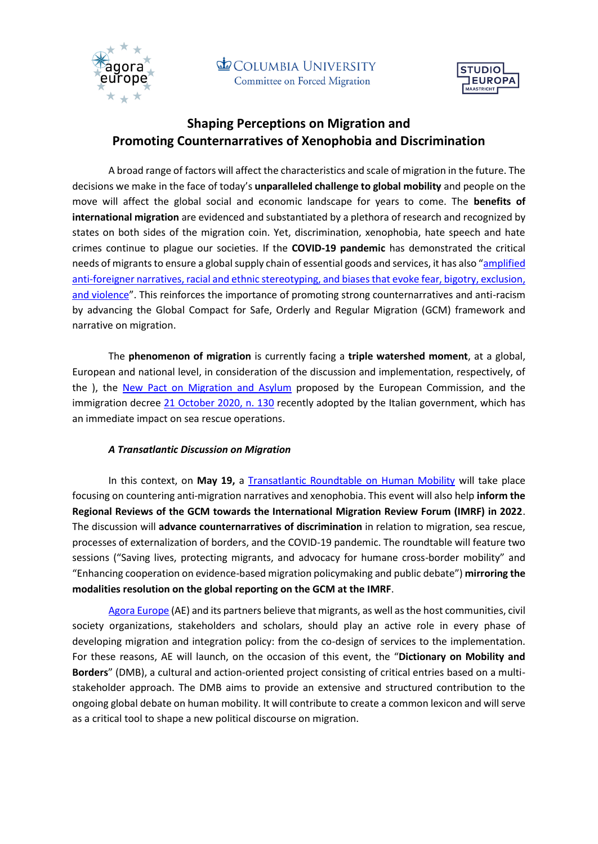



## **Shaping Perceptions on Migration and Promoting Counternarratives of Xenophobia and Discrimination**

A broad range of factors will affect the characteristics and scale of migration in the future. The decisions we make in the face of today's **unparalleled challenge to global mobility** and people on the move will affect the global social and economic landscape for years to come. The **benefits of international migration** are evidenced and substantiated by a plethora of research and recognized by states on both sides of the migration coin. Yet, discrimination, xenophobia, hate speech and hate crimes continue to plague our societies. If the **COVID-19 pandemic** has demonstrated the critical needs of migrants to ensure a global supply chain of essential goods and services, it has also "amplified anti-foreigner narratives, racial and ethnic stereotyping, and biases that evoke fear, bigotry, exclusion, [and violence](https://migrationnetwork.un.org/freedom-racial-discrimination-right-not-privilege)". This reinforces the importance of promoting strong counternarratives and anti-racism by advancing the Global Compact for Safe, Orderly and Regular Migration (GCM) framework and narrative on migration[.](https://agoraeupoliticalspace.wordpress.com/)

The **phenomenon of migration** is currently facing a **triple watershed moment**, at a global, European and national level, in consideration of the discussion and implementation, respectively, of the [\)](https://www.iom.int/global-compact-migration), th[e](https://ec.europa.eu/commission/presscorner/detail/en/ip_20_1706) [New Pact on Migration](https://ec.europa.eu/commission/presscorner/detail/en/ip_20_1706) and Asylum proposed by the European Commission, and the immigration decree [21 October 2020, n.](https://www.gazzettaufficiale.it/eli/id/2020/10/21/20G00154/sg) 130 recently adopted by the Italian government, which has an immediate impact on sea rescue operations.

## *A Transatlantic Discussion on Migration*

In this context, on **May 19,** a [Transatlantic Roundtable on Human Mobility](https://agoraeupoliticalspace.wordpress.com/a-transatlantic-roundtable-on-human-mobility/) will take place focusing on countering anti-migration narratives and xenophobia. This event will also help **inform the Regional Reviews of the GCM towards the International Migration Review Forum (IMRF) in 2022**. The discussion will **advance counternarratives of discrimination** in relation to migration, sea rescue, processes of externalization of borders, and the COVID-19 pandemic. The roundtable will feature two sessions ("Saving lives, protecting migrants, and advocacy for humane cross-border mobility" and "Enhancing cooperation on evidence-based migration policymaking and public debate") **mirroring the modalities resolution on the global reporting on the GCM at the IMRF**.

[Agora Europe](http://agoraeurope.eu/) (AE) and its partners believe that migrants, as well as the host communities, civil society organizations, stakeholders and scholars, should play an active role in every phase of developing migration and integration policy: from the co-design of services to the implementation. For these reasons, AE will launch, on the occasion of this event, the "**Dictionary on Mobility and Borders**" (DMB), a cultural and action-oriented project consisting of critical entries based on a multistakeholder approach. The DMB aims to provide an extensive and structured contribution to the ongoing global debate on human mobility. It will contribute to create a common lexicon and will serve as a critical tool to shape a new political discourse on migration.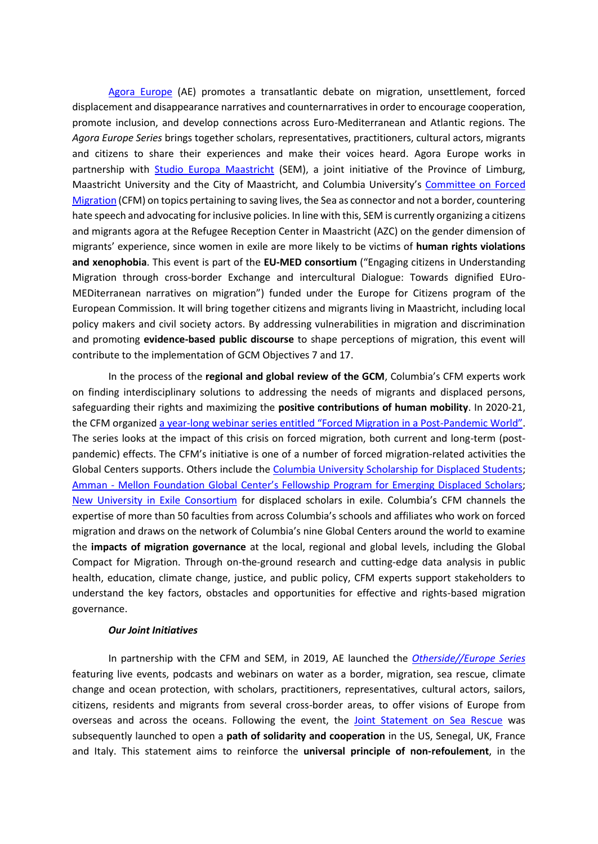[Agora Europe](http://agoraeurope.eu/) (AE) promotes a transatlantic debate on migration, unsettlement, forced displacement and disappearance narratives and counternarratives in order to encourage cooperation, promote inclusion, and develop connections across Euro-Mediterranean and Atlantic regions. The *Agora Europe Series* brings together scholars, representatives, practitioners, cultural actors, migrants and citizens to share their experiences and make their voices heard. Agora Europe works in partnership with **[Studio Europa Maastricht](https://maastrichteurope.nl/about/)** (SEM), a joint initiative of the Province of Limburg, Maastricht University and the City of Maastricht, and Columbia University's [Committee on Forced](https://globalcenters.columbia.edu/CFM)  [Migration](https://globalcenters.columbia.edu/CFM) ([CFM\)](https://globalcenters.columbia.edu/CFM) on topics pertaining to saving lives, the Sea as connector and not a border, countering hate speech and advocating for inclusive policies. In line with this, SEM is currently organizing a citizens and migrants agora at the Refugee Reception Center in Maastricht (AZC) on the gender dimension of migrants' experience, since women in exile are more likely to be victims of **human rights violations and xenophobia**. This event is part of the **EU-MED consortium** ("Engaging citizens in Understanding Migration through cross-border Exchange and intercultural Dialogue: Towards dignified EUro-MEDiterranean narratives on migration") funded under the Europe for Citizens program of the European Commission. It will bring together citizens and migrants living in Maastricht, including local policy makers and civil society actors. By addressing vulnerabilities in migration and discrimination and promoting **evidence-based public discourse** to shape perceptions of migration, this event will contribute to the implementation of GCM Objectives 7 and 17.

In the process of the **regional and global review of the GCM**, Columbia's CFM experts work on finding interdisciplinary solutions to addressing the needs of migrants and displaced persons, safeguarding their rights and maximizing the **positive contributions of human mobility**. In 2020-21, the CFM organized a year-[long webinar series entitled "Forced Migration in a Post](https://www.youtube.com/playlist?list=PLxIC2HhACvmm_AwqXX4Dso9MFpECL0IdJ)-Pandemic World". The series looks at the impact of this crisis on forced migration, both current and long-term (postpandemic) effects. The CFM's initiative is one of a number of forced migration-related activities the Global Centers supports. Others include the [Columbia University Scholarship for Displaced Students;](https://globalcenters.columbia.edu/CUSDS?https://cvn.columbia.edu/&gclid=Cj0KCQjw9_mDBhCGARIsAN3PaFPgJMkVUppkB8KBmSCYo_kKMHNqqsK6BjStSCPjQa693T9VX7-83hsaAn3xEALw_wcB) Amman - Mellon Foundation Global Center'[s Fellowship Program for Emerging Displaced Scholars;](https://globalcenters.columbia.edu/content/fellowship-program-emerging-displaced-scholars) [New University in Exile Consortium](https://newuniversityinexileconsortium.org/sourcebook/columbia-global-centers-fellowship-program-for-emerging-displaced-scholars/) for displaced scholars in exile. Columbia's CFM channels the expertise of more than 50 faculties from across Columbia's schools and affiliates who work on forced migration and draws on the network of Columbia's nine Global Centers around the world to examine the **impacts of migration governance** at the local, regional and global levels, including the Global Compact for Migration. Through on-the-ground research and cutting-edge data analysis in public health, education, climate change, justice, and public policy, CFM experts support stakeholders to understand the key factors, obstacles and opportunities for effective and rights-based migration governance.

## *Our Joint Initiatives*

In partnership with the CFM and SEM, in 2019[,](https://agoraeupoliticalspace.wordpress.com/otherside-europe-2/) AE launched the *[Otherside//Europe](https://europe.columbia.edu/events/othersideeurope) Series* featuring live events, podcasts and webinars on water as a border, migration, sea rescue, climate change and ocean protection, with scholars, practitioners, representatives, cultural actors, sailors, citizens, residents and migrants from several cross-border areas, to offer visions of Europe from overseas and across the oceans. Following the event, the [Joint Statement on Sea Rescue](https://www.globalpolicyjournal.com/blog/08/10/2020/joint-statement-sea-rescue) was subsequently launched to open a **path of solidarity and cooperation** in the US, Senegal, UK, France and Italy. This statement aims to reinforce the **universal principle of non-refoulement**, in the